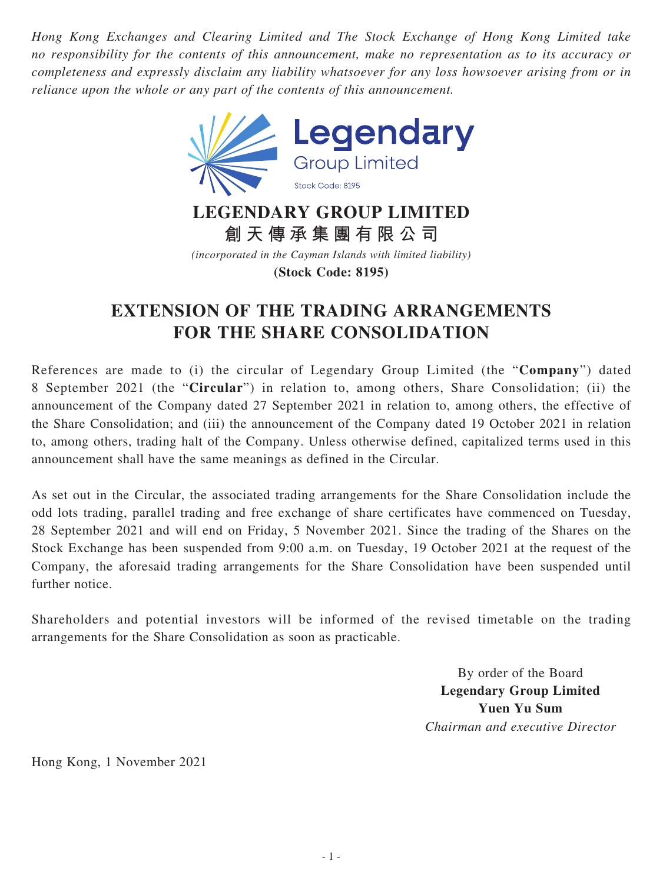*Hong Kong Exchanges and Clearing Limited and The Stock Exchange of Hong Kong Limited take no responsibility for the contents of this announcement, make no representation as to its accuracy or completeness and expressly disclaim any liability whatsoever for any loss howsoever arising from or in reliance upon the whole or any part of the contents of this announcement.*

![](_page_0_Picture_1.jpeg)

**LEGENDARY GROUP LIMITED 創天傳承集團有限公司**

*(incorporated in the Cayman Islands with limited liability)* **(Stock Code: 8195)**

## **EXTENSION OF THE TRADING ARRANGEMENTS FOR THE SHARE CONSOLIDATION**

References are made to (i) the circular of Legendary Group Limited (the "**Company**") dated 8 September 2021 (the "**Circular**") in relation to, among others, Share Consolidation; (ii) the announcement of the Company dated 27 September 2021 in relation to, among others, the effective of the Share Consolidation; and (iii) the announcement of the Company dated 19 October 2021 in relation to, among others, trading halt of the Company. Unless otherwise defined, capitalized terms used in this announcement shall have the same meanings as defined in the Circular.

As set out in the Circular, the associated trading arrangements for the Share Consolidation include the odd lots trading, parallel trading and free exchange of share certificates have commenced on Tuesday, 28 September 2021 and will end on Friday, 5 November 2021. Since the trading of the Shares on the Stock Exchange has been suspended from 9:00 a.m. on Tuesday, 19 October 2021 at the request of the Company, the aforesaid trading arrangements for the Share Consolidation have been suspended until further notice.

Shareholders and potential investors will be informed of the revised timetable on the trading arrangements for the Share Consolidation as soon as practicable.

> By order of the Board **Legendary Group Limited Yuen Yu Sum** *Chairman and executive Director*

Hong Kong, 1 November 2021